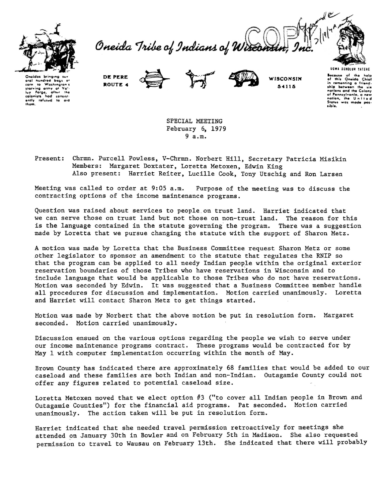

Oneida Tribe of Indians of Wiscons



eral hundred bor to Washing  $n(n)$ corn to washington's<br>starving army at Vatility Forge, after the<br>colonists had consist colonists had consist-<br>ently refused to aid

DE PERE ROUTE 4



WISCONSIN 54115

**UGWA DEHOLUN TATEHE Because** of the<br>of this Oneida help<br>Chief or this Unesa Unior<br>in comenting a friend-<br>ship between the six<br>notions and the Colony nonoms and the Colony<br>of Pennsylvania, a new<br>nation, the United<br>States was mode possible.

SPECIAL MEETING February 6, 1979  $9a.m.$ 

Chrmn. Purcell Powless, V-Chrmn. Norbert Hill, Secretary Patricia Misikin Present: Members: Margaret Doxtater, Loretta Metoxen, Edwin King Also present: Harriet Reiter, Lucille Cook, Tony Utschig and Ron Larsen

Meeting was called to order at 9:05 a.m. Purpose of the meeting was to discuss the contracting options of the income maintenance programs.

Question was raised about services to people on trust land. Harriet indicated that we can serve those on trust land but not those on non-trust land. The reason for this is the language contained in the statute governing the program. There was a suggestion made by Loretta that we pursue changing the statute with the support of Sharon Metz.

A motion was made by Loretta that the Business Committee request Sharon Metz or some other legislator to sponsor an amendment to the statute that regulates the RNIP so that the program can be applied to all needy Indian people within the original exterior reservation boundaries of those Tribes who have reservations in Wisconsin and to include language that would be applicable to those Tribes who do not have reservations. Motion was seconded by Edwin. It was suggested that a Business Committee member handle all procedures for discussion and implementation. Motion carried unanimously. Loretta and Harriet will contact Sharon Metz to get things started.

Motion was made by Norbert that the above motion be put in resolution form. Margaret seconded. Motion carried unanimously.

Discussion ensued on the various options regarding the people we wish to serve under our income maintenance programs contract. These programs would be contracted for by May 1 with computer implementation occurring within the month of May.

Brown County has indicated there are approximately 68 families that would be added to our caseload and these families are both Indian and non-Indian. Outagamie County could not offer any figures related to potential caseload size.

Loretta Metoxen moved that we elect option #3 ("to cover all Indian people in Brown and Outagamie Counties") for the financial aid programs. Pat seconded. Motion carried unanimously. The action taken will be put in resolution form.

Harriet indicated that she needed travel permission retroactively for meetings she attended on January 30th in Bowler and on February 5th in Madison. She also requested permission to travel to Wausau on February 13th. She indicated that there will probably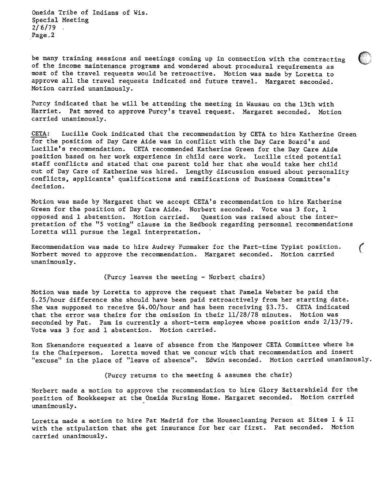Oneida Tribe of Indians of Wis. Special Meeting 2/6/79 Page\_2

be many training sessions and meetings coming up in connection with the contracting of the income maintenance programs and wondered about procedural requirements as most of the travel requests would be retroactive. Motion was made by Loretta to approve all the travel requests indicated and future travel. Margaret seconded. Motion carried unanimously.

Purcy indicated that he will be attending the meeting in Wausau on the 13th with Harriet. Pat moved to approve Purcy's travel request. Margaret seconded. Motion carried unanimously.

CETA: Lucille Cook indicated that the recommendation by CETA to hire Katherine Green for the position of Day Care Aide was in conflict with the Day Care Board's and Lucille's recommendation. CETA recommended Katherine Green for the Day Care Aide position based on her work experience in child care work. Lucille cited potential staff conflicts and stated that one parent told her that she would take her child out of Day Care of Katherine was hired. Lengthy discussion ensued about personality conflicts, applicants' qualifications and ramifications of Business Committee's decision.

Motion was made by Margaret that we accept CETA's recommendation to hire Katherine Green for the position of Day Care Aide. Norbert seconded. Vote was 3 for, 1 opposed and 1 abstention. Motion carried. Question was raised about the interpretation of the "5 voting" clause in the Redbook regarding personnel recommendations Loretta will pursue the legal interpretation.

Recommendation was made to hire Audrey Funmaker for the Part-time Typist position.  $\mathcal{C}$ Norbert moved to approve the recommendation. Margaret seconded. Motion carried unanimously.

(Purcy leaves the meeting - Norbert chairs)

Motion was made by Loretta to approve the request that Pamela Webster be paid the \$.25/hour difference she should have been paid retroactively from her starting date. She was supposed to receive \$4.00/hour and has been receiving \$3.75. CETA indicated that the error was theirs for the omission in their 11/28/78 minutes. Motion was seconded by Pat. Pam is currently a short-term employee whose position ends 2/13/79. Vote was 3 for and 1 abstention. Motion carried.

Ron Skenandore requested a leave of absence from the Manpower CETA Committee where he is the Chairperson. Loretta moved that we concur with that recommendation and insert "excuse" in the place of "leave of absence". Edwin seconded. Motion carried unanimously.

(Purcy returns to the meeting & assumes the chair)

Norbert made a motion to approve the recommendation to hire Glory Battershield for the position of Bookkeeper at the Oneida Nursing Home. Margaret seconded. Motion carried unanimously.

Loretta made a motion to hire Pat Madrid for the Housecleaning Person at Sites I & II with the stipulation that she get insurance for her car first. Pat seconded. Motion carried unanimously.